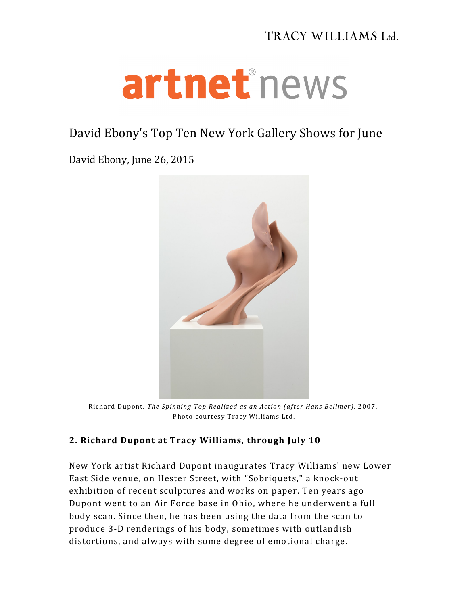## TRACY WILLIAMS Ltd.

## artnethews

## David Ebony's Top Ten New York Gallery Shows for June

David Ebony, June 26, 2015



Richard Dupont, *The Spinning Top Realized as an Action (after Hans Bellmer)*, 2007. Photo courtesy Tracy Williams Ltd.

## **2. Richard Dupont at Tracy Williams, through July 10**

New York artist Richard Dupont inaugurates Tracy Williams' new Lower East Side venue, on Hester Street, with "Sobriquets," a knock-out exhibition of recent sculptures and works on paper. Ten years ago Dupont went to an Air Force base in Ohio, where he underwent a full body scan. Since then, he has been using the data from the scan to produce 3-D renderings of his body, sometimes with outlandish distortions, and always with some degree of emotional charge.